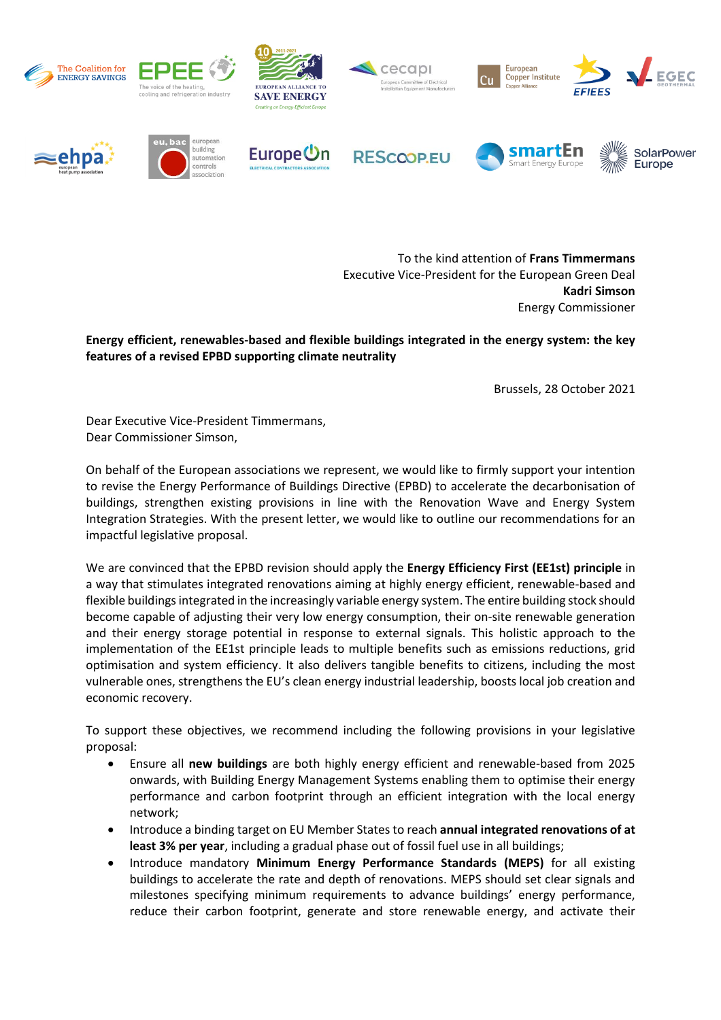

To the kind attention of **Frans Timmermans** Executive Vice-President for the European Green Deal **Kadri Simson** Energy Commissioner

**Energy efficient, renewables-based and flexible buildings integrated in the energy system: the key features of a revised EPBD supporting climate neutrality**

Brussels, 28 October 2021

Dear Executive Vice-President Timmermans, Dear Commissioner Simson,

On behalf of the European associations we represent, we would like to firmly support your intention to revise the Energy Performance of Buildings Directive (EPBD) to accelerate the decarbonisation of buildings, strengthen existing provisions in line with the Renovation Wave and Energy System Integration Strategies. With the present letter, we would like to outline our recommendations for an impactful legislative proposal.

We are convinced that the EPBD revision should apply the **Energy Efficiency First (EE1st) principle** in a way that stimulates integrated renovations aiming at highly energy efficient, renewable-based and flexible buildings integrated in the increasingly variable energy system. The entire building stock should become capable of adjusting their very low energy consumption, their on-site renewable generation and their energy storage potential in response to external signals. This holistic approach to the implementation of the EE1st principle leads to multiple benefits such as emissions reductions, grid optimisation and system efficiency. It also delivers tangible benefits to citizens, including the most vulnerable ones, strengthens the EU's clean energy industrial leadership, boosts local job creation and economic recovery.

To support these objectives, we recommend including the following provisions in your legislative proposal:

- Ensure all **new buildings** are both highly energy efficient and renewable-based from 2025 onwards, with Building Energy Management Systems enabling them to optimise their energy performance and carbon footprint through an efficient integration with the local energy network;
- Introduce a binding target on EU Member States to reach **annual integrated renovations of at least 3% per year**, including a gradual phase out of fossil fuel use in all buildings;
- Introduce mandatory **Minimum Energy Performance Standards (MEPS)** for all existing buildings to accelerate the rate and depth of renovations. MEPS should set clear signals and milestones specifying minimum requirements to advance buildings' energy performance, reduce their carbon footprint, generate and store renewable energy, and activate their